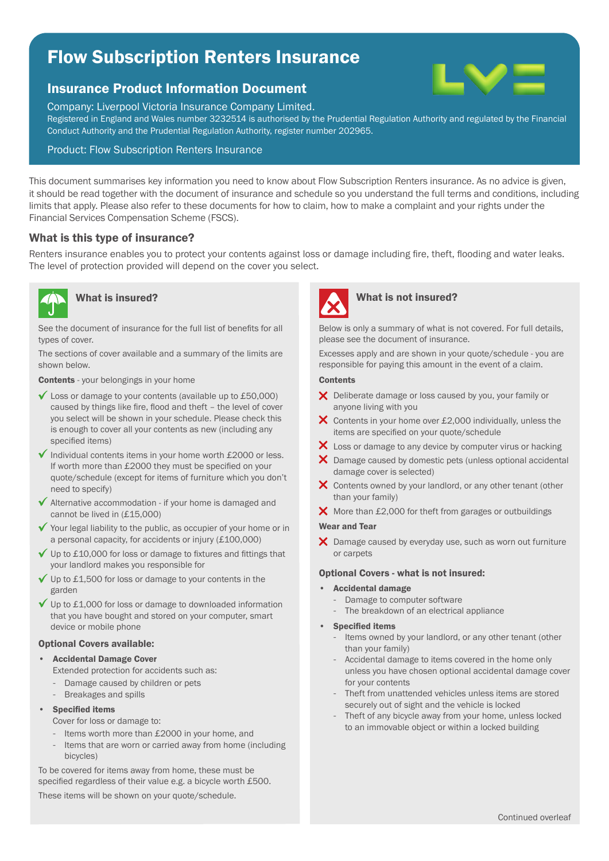# Flow Subscription Renters Insurance

## Insurance Product Information Document

Company: Liverpool Victoria Insurance Company Limited.

Registered in England and Wales number 3232514 is authorised by the Prudential Regulation Authority and regulated by the Financial Conduct Authority and the Prudential Regulation Authority, register number 202965.

### Product: Flow Subscription Renters Insurance

This document summarises key information you need to know about Flow Subscription Renters insurance. As no advice is given, it should be read together with the document of insurance and schedule so you understand the full terms and conditions, including limits that apply. Please also refer to these documents for how to claim, how to make a complaint and your rights under the Financial Services Compensation Scheme (FSCS).

### What is this type of insurance?

Renters insurance enables you to protect your contents against loss or damage including fire, theft, flooding and water leaks. The level of protection provided will depend on the cover you select.



See the document of insurance for the full list of benefits for all types of cover.

The sections of cover available and a summary of the limits are shown below.

Contents - your belongings in your home

- Loss or damage to your contents (available up to £50,000) caused by things like fire, flood and theft – the level of cover you select will be shown in your schedule. Please check this is enough to cover all your contents as new (including any specified items)
- $\checkmark$  Individual contents items in your home worth £2000 or less. If worth more than £2000 they must be specified on your quote/schedule (except for items of furniture which you don't need to specify)
- $\sqrt{\phantom{a}}$  Alternative accommodation if your home is damaged and cannot be lived in (£15,000)
- $\checkmark$  Your legal liability to the public, as occupier of your home or in a personal capacity, for accidents or injury (£100,000)
- $\checkmark$  Up to £10,000 for loss or damage to fixtures and fittings that your landlord makes you responsible for
- $\checkmark$  Up to £1,500 for loss or damage to your contents in the garden
- ◆ Up to £1,000 for loss or damage to downloaded information that you have bought and stored on your computer, smart device or mobile phone

#### Optional Covers available:

#### • Accidental Damage Cover

- Extended protection for accidents such as:
- Damage caused by children or pets
- Breakages and spills

#### **Specified items**

Cover for loss or damage to:

- Items worth more than £2000 in your home, and
- Items that are worn or carried away from home (including bicycles)

To be covered for items away from home, these must be specified regardless of their value e.g. a bicycle worth £500.

These items will be shown on your quote/schedule.



# What is insured? What is not insured?

Below is only a summary of what is not covered. For full details, please see the document of insurance.

Excesses apply and are shown in your quote/schedule - you are responsible for paying this amount in the event of a claim.

#### **Contents**

- X Deliberate damage or loss caused by you, your family or anyone living with you
- $\times$  Contents in your home over £2,000 individually, unless the items are specified on your quote/schedule
- X Loss or damage to any device by computer virus or hacking
- X Damage caused by domestic pets (unless optional accidental damage cover is selected)
- X Contents owned by your landlord, or any other tenant (other than your family)
- $\boldsymbol{\times}$  More than £2,000 for theft from garages or outbuildings

#### Wear and Tear

X Damage caused by everyday use, such as worn out furniture or carpets

#### Optional Covers - what is not insured:

- Accidental damage
	- Damage to computer software
	- The breakdown of an electrical appliance

#### **Specified items**

- Items owned by your landlord, or any other tenant (other than your family)
- Accidental damage to items covered in the home only unless you have chosen optional accidental damage cover for your contents
- Theft from unattended vehicles unless items are stored securely out of sight and the vehicle is locked
- Theft of any bicycle away from your home, unless locked to an immovable object or within a locked building